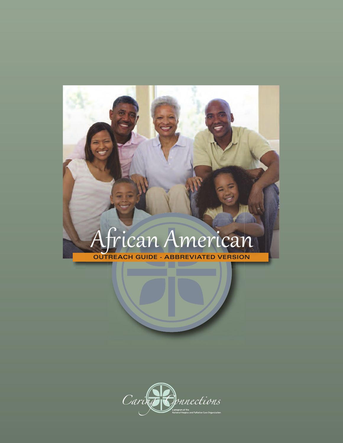## African American

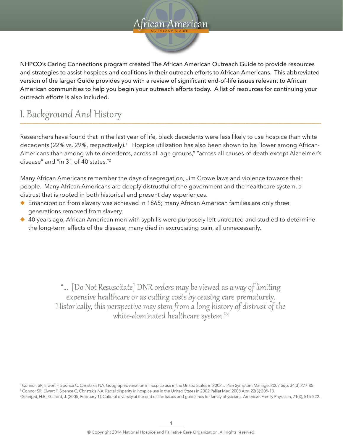#### **O UT R EA C H G UIDE O U T R E A C H G U I D E** frican American.

NHPCO's Caring Connections program created The African American Outreach Guide to provide resources and strategies to assist hospices and coalitions in their outreach efforts to African Americans. This abbreviated version of the larger Guide provides you with a review of significant end-of-life issues relevant to African American communities to help you begin your outreach efforts today. A list of resources for continuing your outreach efforts is also included.

#### I. Background And History **\_\_\_\_\_\_\_\_\_\_\_\_\_\_\_\_\_\_\_\_\_\_\_\_\_\_\_\_\_\_\_\_\_\_\_\_\_\_\_\_\_\_\_\_\_\_\_\_\_\_\_\_\_\_\_\_\_\_\_\_\_\_\_\_\_\_\_\_\_\_\_\_\_\_\_\_\_\_\_\_\_\_\_\_\_\_\_\_\_\_\_\_\_\_\_\_\_\_\_\_**

Researchers have found that in the last year of life, black decedents were less likely to use hospice than white decedents (22% vs. 29%, respectively).<sup>1</sup> Hospice utilization has also been shown to be "lower among African-Americans than among white decedents, across all age groups," "across all causes of death except Alzheimer's disease" and "in  $31$  of  $40$  states."<sup>2</sup>

Many African Americans remember the days of segregation, Jim Crowe laws and violence towards their people. Many African Americans are deeply distrustful of the government and the healthcare system, a distrust that is rooted in both historical and present day experiences.

- $\blacklozenge$  Emancipation from slavery was achieved in 1865; many African American families are only three generations removed from slavery.
- $\triangle$  40 years ago, African American men with syphilis were purposely left untreated and studied to determine the long-term effects of the disease; many died in excruciating pain, all unnecessarily.

"... [Do Not Resuscitate] DNR orders may be viewed as a way of limiting expensive healthcare or as cutting costs by ceasing care prematurely. Historically, this perspective may stem from a long history of distrust of the white-dominated healthcare system."3

<sup>1</sup> Connor, SR, Elwert F, Spence C, Christakis NA. Geographic variation in hospice use in the United States in 2002. J Pain Symptom Manage. 2007 Sep; 34(3):277-85. <sup>2</sup> Connor SR, Elwert F, Spence C, Christakis NA. Racial disparity in hospice use in the United States in 2002.Palliat Med.2008 Apr; 22(3):205-13. <sup>3</sup> Searight, H.R., Gafford, J. (2005, February 1). Cultural diversity at the end of life: Issues and guidelines for family physicians. American Family Physician, 71(3), 515-522.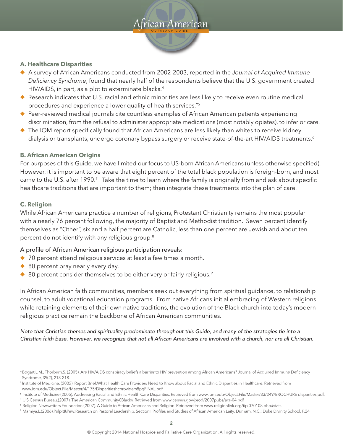#### **O UT R EA C H G UIDE O U T R E A C H G U I D E** frican American

#### **A. Healthcare Disparities**

- ◆ A survey of African Americans conducted from 2002-2003, reported in the *Journal of Acquired Immune Deficiency Syndrome*, found that nearly half of the respondents believe that the U.S. government created HIV/AIDS, in part, as a plot to exterminate blacks.<sup>4</sup>
- Research indicates that U.S. racial and ethnic minorities are less likely to receive even routine medical procedures and experience a lower quality of health services."5
- ◆ Peer-reviewed medical journals cite countless examples of African American patients experiencing discrimination, from the refusal to administer appropriate medications (most notably opiates), to inferior care.
- $\blacklozenge$  The IOM report specifically found that African Americans are less likely than whites to receive kidney dialysis or transplants, undergo coronary bypass surgery or receive state-of-the-art HIV/AIDS treatments.<sup>6</sup>

#### **B. African American Origins**

For purposes of this Guide, we have limited our focus to US-born African Americans (unless otherwise specified). However, it is important to be aware that eight percent of the total black population is foreign-born, and most came to the U.S. after 1990.<sup>7</sup> Take the time to learn where the family is originally from and ask about specific healthcare traditions that are important to them; then integrate these treatments into the plan of care.

#### **C. Religion**

While African Americans practice a number of religions, Protestant Christianity remains the most popular with a nearly 76 percent following, the majority of Baptist and Methodist tradition. Seven percent identify themselves as "Other", six and a half percent are Catholic, less than one percent are Jewish and about ten percent do not identify with any religious group.<sup>8</sup>

#### A profile of African American religious participation reveals:

- $\blacklozenge$  70 percent attend religious services at least a few times a month.
- $\triangle$  80 percent pray nearly every day.
- $\triangle$  80 percent consider themselves to be either very or fairly religious.<sup>9</sup>

In African American faith communities, members seek out everything from spiritual guidance, to relationship counsel, to adult vocational education programs. From native Africans initial embracing of Western religions while retaining elements of their own native traditions, the evolution of the Black church into today's modern religious practice remain the backbone of African American communities.

*Note that Christian themes and spirituality predominate throughout this Guide, and many of the strategies tie into a Christian faith base. However, we recognize that not all African Americans are involved with a church, nor are all Christian.* 

<sup>4</sup> Bogart,L.M., Thorburn,S. (2005). Are HIV/AIDS conspiracy beliefs a barrier to HIV prevention among African Americans? Journal of Acquired Immune Deficiency Syndrome, 39(2), 213-218.

<sup>&</sup>lt;sup>5</sup>Institute of Medicine. (2002). Report Brief: What Health Care Providers Need to Know about Racial and Ethnic Disparities in Healthcare. Retrieved from

www.iom.edu/Object.File/Master/4/175/Disparitieshcproviders8pgFINAL.pdf.

<sup>&</sup>lt;sup>6</sup> Institute of Medicine.(2005). Addressing Racial and Ethnic Health Care Disparities. Retrieved from www.iom.edu/Object.File/Master/33/249/BROCHURE disparities.pdf.

<sup>7</sup> U.S.Census Bureau.(2007). The American Community0Blacks. Retrieved from www.census.gov/prod/2007pubs/acs-04.pdf.

<sup>&</sup>lt;sup>8</sup> Religion Newswriters Foundation.(2007). A Guide to African Americans and Religion. Retrieved from www.religionlink.org/tip 070108.php#stats.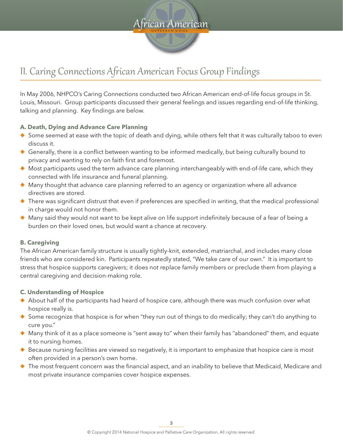

### II. Caring Connections African American Focus Group Findings **\_\_\_\_\_\_\_\_\_\_\_\_\_\_\_\_\_\_\_\_\_\_\_\_\_\_\_\_\_\_\_\_\_\_\_\_\_\_\_\_\_\_\_\_\_\_\_\_\_\_\_\_\_\_\_\_\_\_\_\_\_\_\_\_\_\_\_\_\_\_\_\_\_\_\_\_\_\_\_\_\_\_\_\_\_\_\_\_\_\_\_\_\_\_\_\_\_\_\_\_**

In May 2006, NHPCO's Caring Connections conducted two African American end-of-life focus groups in St. Louis, Missouri. Group participants discussed their general feelings and issues regarding end-of-life thinking, talking and planning. Key findings are below.

#### **A. Death, Dying and Advance Care Planning**

- $\blacklozenge$  Some seemed at ease with the topic of death and dying, while others felt that it was culturally taboo to even discuss it.
- $\blacklozenge$  Generally, there is a conflict between wanting to be informed medically, but being culturally bound to privacy and wanting to rely on faith first and foremost.
- $\blacklozenge$  Most participants used the term advance care planning interchangeably with end-of-life care, which they connected with life insurance and funeral planning.
- $\blacklozenge$  Many thought that advance care planning referred to an agency or organization where all advance directives are stored.
- ◆ There was significant distrust that even if preferences are specified in writing, that the medical professional in charge would not honor them.
- $\blacklozenge$  Many said they would not want to be kept alive on life support indefinitely because of a fear of being a burden on their loved ones, but would want a chance at recovery.

#### **B. Caregiving**

The African American family structure is usually tightly-knit, extended, matriarchal, and includes many close friends who are considered kin. Participants repeatedly stated, "We take care of our own." It is important to stress that hospice supports caregivers; it does not replace family members or preclude them from playing a central caregiving and decision-making role.

#### **C. Understanding of Hospice**

- $\blacklozenge$  About half of the participants had heard of hospice care, although there was much confusion over what hospice really is.
- $\bullet$  Some recognize that hospice is for when "they run out of things to do medically; they can't do anything to cure you."
- $\blacklozenge$  Many think of it as a place someone is "sent away to" when their family has "abandoned" them, and equate it to nursing homes.
- $\blacklozenge$  Because nursing facilities are viewed so negatively, it is important to emphasize that hospice care is most often provided in a person's own home.
- $\blacklozenge$  The most frequent concern was the financial aspect, and an inability to believe that Medicaid, Medicare and most private insurance companies cover hospice expenses.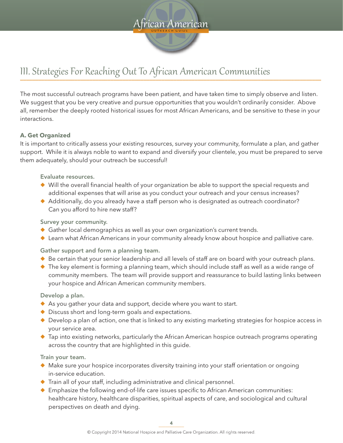

### III. Strategies For Reaching Out To African American Communities **\_\_\_\_\_\_\_\_\_\_\_\_\_\_\_\_\_\_\_\_\_\_\_\_\_\_\_\_\_\_\_\_\_\_\_\_\_\_\_\_\_\_\_\_\_\_\_\_\_\_\_\_\_\_\_\_\_\_\_\_\_\_\_\_\_\_\_\_\_\_\_\_\_\_\_\_\_\_\_\_\_\_\_\_\_\_\_\_\_\_\_\_\_\_\_\_\_\_\_\_**

The most successful outreach programs have been patient, and have taken time to simply observe and listen. We suggest that you be very creative and pursue opportunities that you wouldn't ordinarily consider. Above all, remember the deeply rooted historical issues for most African Americans, and be sensitive to these in your interactions.

#### **A. Get Organized**

It is important to critically assess your existing resources, survey your community, formulate a plan, and gather support. While it is always noble to want to expand and diversify your clientele, you must be prepared to serve them adequately, should your outreach be successful!

Evaluate resources.

- ◆ Will the overall financial health of your organization be able to support the special requests and additional expenses that will arise as you conduct your outreach and your census increases?
- $\blacklozenge$  Additionally, do you already have a staff person who is designated as outreach coordinator? Can you afford to hire new staff?

Survey your community.

- ◆ Gather local demographics as well as your own organization's current trends.
- ◆ Learn what African Americans in your community already know about hospice and palliative care.

Gather support and form a planning team.

- ◆ Be certain that your senior leadership and all levels of staff are on board with your outreach plans.
- ◆ The key element is forming a planning team, which should include staff as well as a wide range of community members. The team will provide support and reassurance to build lasting links between your hospice and African American community members.

Develop a plan.

- $\blacklozenge$  As you gather your data and support, decide where you want to start.
- $\blacklozenge$  Discuss short and long-term goals and expectations.
- $\blacklozenge$  Develop a plan of action, one that is linked to any existing marketing strategies for hospice access in your service area.
- $\blacklozenge$  Tap into existing networks, particularly the African American hospice outreach programs operating across the country that are highlighted in this guide.

Train your team.

- ◆ Make sure your hospice incorporates diversity training into your staff orientation or ongoing in-service education.
- $\blacklozenge$  Train all of your staff, including administrative and clinical personnel.
- ◆ Emphasize the following end-of-life care issues specific to African American communities: healthcare history, healthcare disparities, spiritual aspects of care, and sociological and cultural perspectives on death and dying.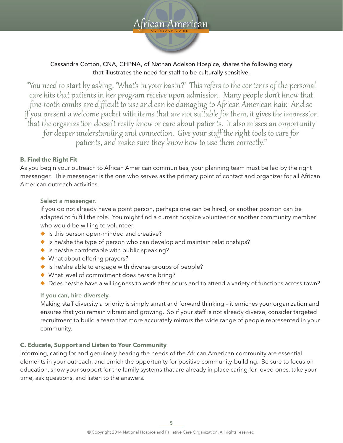

#### Cassandra Cotton, CNA, CHPNA, of Nathan Adelson Hospice, shares the following story that illustrates the need for staff to be culturally sensitive.

"You need to start by asking, 'What's in your basin?' This refers to the contents of the personal care kits that patients in her program receive upon admission. Many people don't know that fine-tooth combs are difficult to use and can be damaging to African American hair. And so if you present a welcome packet with items that are not suitable for them, it gives the impression that the organization doesn't really know or care about patients. It also misses an opportunity for deeper understanding and connection. Give your staff the right tools to care for patients, and make sure they know how to use them correctly."

#### **B. Find the Right Fit**

As you begin your outreach to African American communities, your planning team must be led by the right messenger. This messenger is the one who serves as the primary point of contact and organizer for all African American outreach activities.

#### Select a messenger.

If you do not already have a point person, perhaps one can be hired, or another position can be adapted to fulfill the role. You might find a current hospice volunteer or another community member who would be willing to volunteer.

- $\blacklozenge$  Is this person open-minded and creative?
- $\bullet$  Is he/she the type of person who can develop and maintain relationships?
- $\bullet$  Is he/she comfortable with public speaking?
- $\blacklozenge$  What about offering prayers?
- $\bullet$  Is he/she able to engage with diverse groups of people?
- $\blacklozenge$  What level of commitment does he/she bring?
- ◆ Does he/she have a willingness to work after hours and to attend a variety of functions across town?

#### If you can, hire diversely.

Making staff diversity a priority is simply smart and forward thinking – it enriches your organization and ensures that you remain vibrant and growing. So if your staff is not already diverse, consider targeted recruitment to build a team that more accurately mirrors the wide range of people represented in your community.

#### **C. Educate, Support and Listen to Your Community**

Informing, caring for and genuinely hearing the needs of the African American community are essential elements in your outreach, and enrich the opportunity for positive community-building. Be sure to focus on education, show your support for the family systems that are already in place caring for loved ones, take your time, ask questions, and listen to the answers.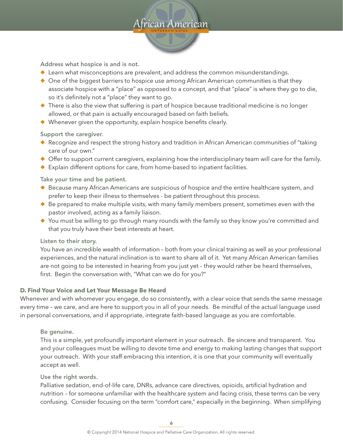

Address what hospice is and is not.

- $\blacklozenge$  Learn what misconceptions are prevalent, and address the common misunderstandings.
- $\bullet$  One of the biggest barriers to hospice use among African American communities is that they associate hospice with a "place" as opposed to a concept, and that "place" is where they go to die, so it's definitely not a "place" they want to go.
- $\blacklozenge$  There is also the view that suffering is part of hospice because traditional medicine is no longer allowed, or that pain is actually encouraged based on faith beliefs.
- $\blacklozenge$  Whenever given the opportunity, explain hospice benefits clearly.

Support the caregiver.

- $\blacklozenge$  Recognize and respect the strong history and tradition in African American communities of "taking care of our own."
- $\blacklozenge$  Offer to support current caregivers, explaining how the interdisciplinary team will care for the family.
- $\blacklozenge$  Explain different options for care, from home-based to inpatient facilities.

Take your time and be patient.

- $\blacklozenge$  Because many African Americans are suspicious of hospice and the entire healthcare system, and prefer to keep their illness to themselves - be patient throughout this process.
- $\blacklozenge$  Be prepared to make multiple visits, with many family members present, sometimes even with the pastor involved, acting as a family liaison.
- $\blacklozenge$  You must be willing to go through many rounds with the family so they know you're committed and that you truly have their best interests at heart.

Listen to their story.

You have an incredible wealth of information – both from your clinical training as well as your professional experiences, and the natural inclination is to want to share all of it. Yet many African American families are not going to be interested in hearing from you just yet – they would rather be heard themselves, first. Begin the conversation with, "What can we do for you?"

#### **D. Find Your Voice and Let Your Message Be Heard**

Whenever and with whomever you engage, do so consistently, with a clear voice that sends the same message every time – we care, and are here to support you in all of your needs. Be mindful of the actual language used in personal conversations, and if appropriate, integrate faith-based language as you are comfortable.

#### Be genuine.

This is a simple, yet profoundly important element in your outreach. Be sincere and transparent. You and your colleagues must be willing to devote time and energy to making lasting changes that support your outreach. With your staff embracing this intention, it is one that your community will eventually accept as well.

#### Use the right words.

Palliative sedation, end-of-life care, DNRs, advance care directives, opioids, artificial hydration and nutrition – for someone unfamiliar with the healthcare system and facing crisis, these terms can be very confusing. Consider focusing on the term "comfort care," especially in the beginning. When simplifying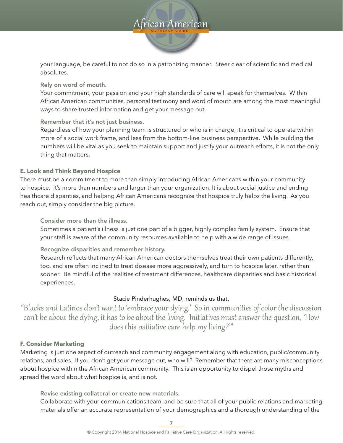#### **O UT R EA C H G UIDE O U T R E A C H G U I D E** frican American

your language, be careful to not do so in a patronizing manner. Steer clear of scientific and medical absolutes.

Rely on word of mouth.

Your commitment, your passion and your high standards of care will speak for themselves. Within African American communities, personal testimony and word of mouth are among the most meaningful ways to share trusted information and get your message out.

Remember that it's not just business.

Regardless of how your planning team is structured or who is in charge, it is critical to operate within more of a social work frame, and less from the bottom-line business perspective. While building the numbers will be vital as you seek to maintain support and justify your outreach efforts, it is not the only thing that matters.

#### **E. Look and Think Beyond Hospice**

There must be a commitment to more than simply introducing African Americans within your community to hospice. It's more than numbers and larger than your organization. It is about social justice and ending healthcare disparities, and helping African Americans recognize that hospice truly helps the living. As you reach out, simply consider the big picture.

Consider more than the illness.

Sometimes a patient's illness is just one part of a bigger, highly complex family system. Ensure that your staff is aware of the community resources available to help with a wide range of issues.

Recognize disparities and remember history.

Research reflects that many African American doctors themselves treat their own patients differently, too, and are often inclined to treat disease more aggressively, and turn to hospice later, rather than sooner. Be mindful of the realities of treatment differences, healthcare disparities and basic historical experiences.

#### Stacie Pinderhughes, MD, reminds us that,

"Blacks and Latinos don't want to 'embrace your dying.' So in communities of color the discussion can't be about the dying, it has to be about the living. Initiatives must answer the question, 'How does this palliative care help my living?'"

#### **F. Consider Marketing**

Marketing is just one aspect of outreach and community engagement along with education, public/community relations, and sales. If you don't get your message out, who will? Remember that there are many misconceptions about hospice within the African American community. This is an opportunity to dispel those myths and spread the word about what hospice is, and is not.

Revise existing collateral or create new materials.

Collaborate with your communications team, and be sure that all of your public relations and marketing materials offer an accurate representation of your demographics and a thorough understanding of the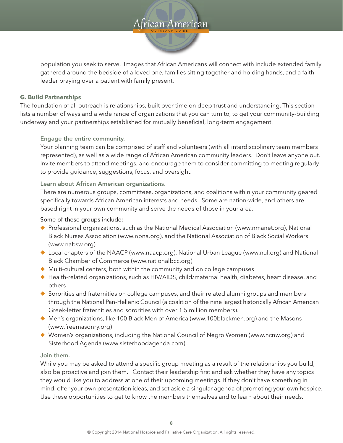#### **O UT R EA C H G UIDE O U T R E A C H G U I D E** Aican American

population you seek to serve. Images that African Americans will connect with include extended family gathered around the bedside of a loved one, families sitting together and holding hands, and a faith leader praying over a patient with family present.

#### **G. Build Partnerships**

The foundation of all outreach is relationships, built over time on deep trust and understanding. This section lists a number of ways and a wide range of organizations that you can turn to, to get your community-building underway and your partnerships established for mutually beneficial, long-term engagement.

#### Engage the entire community.

Your planning team can be comprised of staff and volunteers (with all interdisciplinary team members represented), as well as a wide range of African American community leaders. Don't leave anyone out. Invite members to attend meetings, and encourage them to consider committing to meeting regularly to provide guidance, suggestions, focus, and oversight.

#### Learn about African American organizations.

There are numerous groups, committees, organizations, and coalitions within your community geared specifically towards African American interests and needs. Some are nation-wide, and others are based right in your own community and serve the needs of those in your area.

#### Some of these groups include:

- ◆ Professional organizations, such as the National Medical Association (www.nmanet.org), National Black Nurses Association (www.nbna.org), and the National Association of Black Social Workers (www.nabsw.org)
- ◆ Local chapters of the NAACP (www.naacp.org), National Urban League (www.nul.org) and National Black Chamber of Commerce (www.nationalbcc.org)
- $\blacklozenge$  Multi-cultural centers, both within the community and on college campuses
- ◆ Health-related organizations, such as HIV/AIDS, child/maternal health, diabetes, heart disease, and others
- $\blacklozenge$  Sororities and fraternities on college campuses, and their related alumni groups and members through the National Pan-Hellenic Council (a coalition of the nine largest historically African American Greek-letter fraternities and sororities with over 1.5 million members).
- $\blacklozenge$  Men's organizations, like 100 Black Men of America (www.100blackmen.org) and the Masons (www.freemasonry.org)
- ◆ Women's organizations, including the National Council of Negro Women (www.ncnw.org) and Sisterhood Agenda (www.sisterhoodagenda.com)

#### Join them.

While you may be asked to attend a specific group meeting as a result of the relationships you build, also be proactive and join them. Contact their leadership first and ask whether they have any topics they would like you to address at one of their upcoming meetings. If they don't have something in mind, offer your own presentation ideas, and set aside a singular agenda of promoting your own hospice. Use these opportunities to get to know the members themselves and to learn about their needs.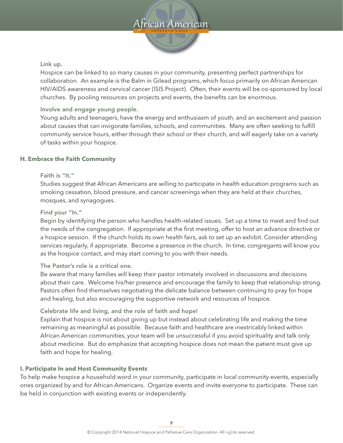

#### Link up.

Hospice can be linked to so many causes in your community, presenting perfect partnerships for collaboration. An example is the Balm in Gilead programs, which focus primarily on African American HIV/AIDS awareness and cervical cancer (ISIS Project). Often, their events will be co-sponsored by local churches. By pooling resources on projects and events, the benefits can be enormous.

#### Involve and engage young people.

Young adults and teenagers, have the energy and enthusiasm of youth, and an excitement and passion about causes that can invigorate families, schools, and communities. Many are often seeking to fulfill community service hours, either through their school or their church, and will eagerly take on a variety of tasks within your hospice.

#### **H. Embrace the Faith Community**

#### Faith is "It."

Studies suggest that African Americans are willing to participate in health education programs such as smoking cessation, blood pressure, and cancer screenings when they are held at their churches, mosques, and synagogues.

#### Find your "In."

Begin by identifying the person who handles health-related issues. Set up a time to meet and find out the needs of the congregation. If appropriate at the first meeting, offer to host an advance directive or a hospice session. If the church holds its own health fairs, ask to set up an exhibit. Consider attending services regularly, if appropriate. Become a presence in the church. In time, congregants will know you as the hospice contact, and may start coming to you with their needs.

#### The Pastor's role is a critical one.

Be aware that many families will keep their pastor intimately involved in discussions and decisions about their care. Welcome his/her presence and encourage the family to keep that relationship strong. Pastors often find themselves negotiating the delicate balance between continuing to pray for hope and healing, but also encouraging the supportive network and resources of hospice.

#### Celebrate life and living, and the role of faith and hope!

Explain that hospice is not about giving up but instead about celebrating life and making the time remaining as meaningful as possible. Because faith and healthcare are inextricably linked within African American communities, your team will be unsuccessful if you avoid spirituality and talk only about medicine. But do emphasize that accepting hospice does not mean the patient must give up faith and hope for healing.

#### **I. Participate In and Host Community Events**

To help make hospice a household word in your community, participate in local community events, especially ones organized by and for African Americans. Organize events and invite everyone to participate. These can be held in conjunction with existing events or independently.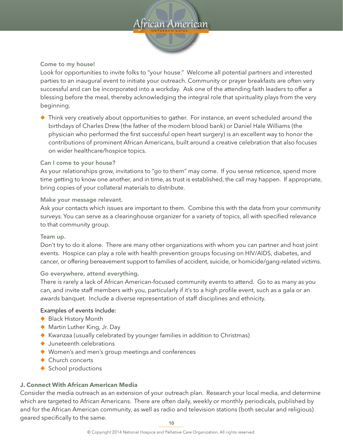# $\Delta$ frican American

#### Come to my house!

Look for opportunities to invite folks to "your house." Welcome all potential partners and interested parties to an inaugural event to initiate your outreach. Community or prayer breakfasts are often very successful and can be incorporated into a workday. Ask one of the attending faith leaders to offer a blessing before the meal, thereby acknowledging the integral role that spirituality plays from the very beginning.

 $\blacklozenge$  Think very creatively about opportunities to gather. For instance, an event scheduled around the birthdays of Charles Drew (the father of the modern blood bank) or Daniel Hale Williams (the physician who performed the first successful open heart surgery) is an excellent way to honor the contributions of prominent African Americans, built around a creative celebration that also focuses on wider healthcare/hospice topics.

#### Can I come to your house?

As your relationships grow, invitations to "go to them" may come. If you sense reticence, spend more time getting to know one another, and in time, as trust is established, the call may happen. If appropriate, bring copies of your collateral materials to distribute.

#### Make your message relevant.

Ask your contacts which issues are important to them. Combine this with the data from your community surveys. You can serve as a clearinghouse organizer for a variety of topics, all with specified relevance to that community group.

#### Team up.

Don't try to do it alone. There are many other organizations with whom you can partner and host joint events. Hospice can play a role with health prevention groups focusing on HIV/AIDS, diabetes, and cancer, or offering bereavement support to families of accident, suicide, or homicide/gang-related victims.

#### Go everywhere, attend everything.

There is rarely a lack of African American-focused community events to attend. Go to as many as you can, and invite staff members with you, particularly if it's to a high profile event, such as a gala or an awards banquet. Include a diverse representation of staff disciplines and ethnicity.

#### Examples of events include:

- ◆ Black History Month
- $\blacklozenge$  Martin Luther King, Jr. Day
- $\blacklozenge$  Kwanzaa (usually celebrated by younger families in addition to Christmas)
- $\blacklozenge$  Juneteenth celebrations
- $\blacklozenge$  Women's and men's group meetings and conferences
- $\triangle$  Church concerts
- $\triangle$  School productions

#### **J. Connect With African American Media**

Consider the media outreach as an extension of your outreach plan. Research your local media, and determine which are targeted to African Americans. There are often daily, weekly or monthly periodicals, published by and for the African American community, as well as radio and television stations (both secular and religious) geared specifically to the same.